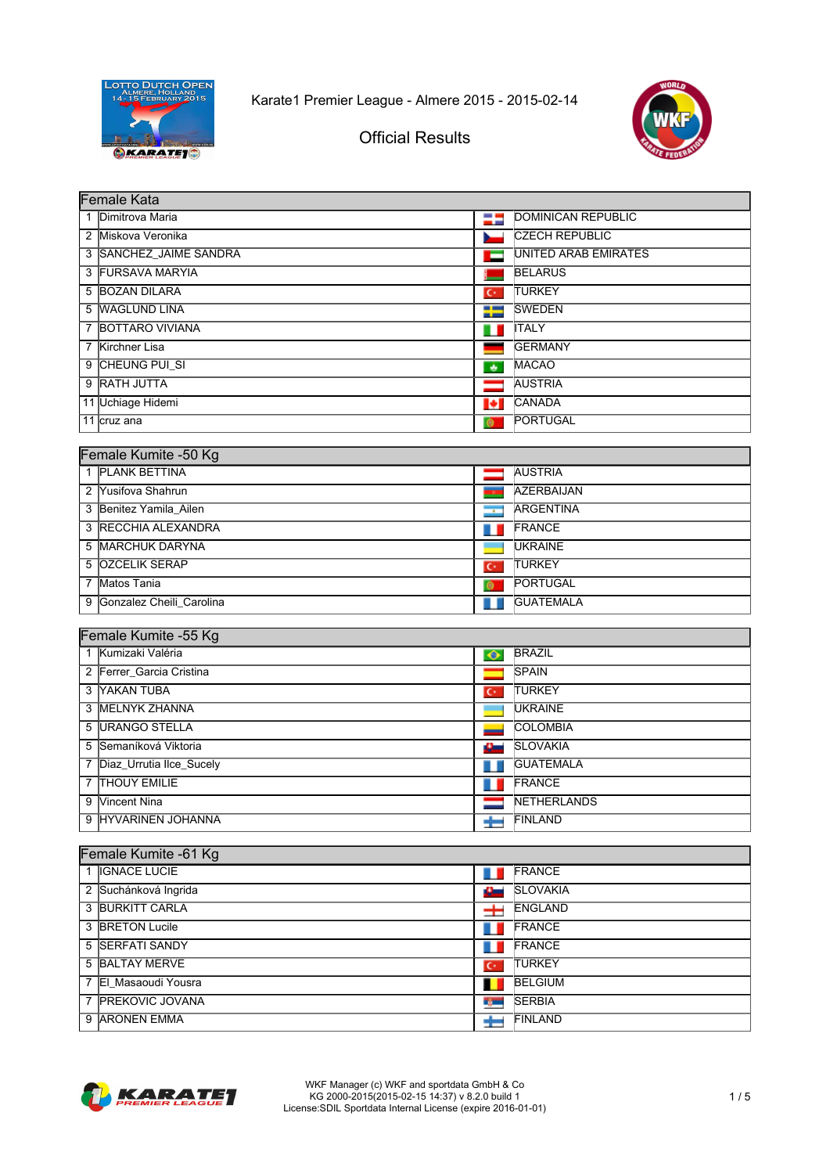



Official Results

|                | Female Kata            |           |                           |  |  |
|----------------|------------------------|-----------|---------------------------|--|--|
|                | 1 Dimitrova Maria      | 25        | <b>DOMINICAN REPUBLIC</b> |  |  |
| 2              | Miskova Veronika       |           | <b>CZECH REPUBLIC</b>     |  |  |
|                | 3 SANCHEZ JAIME SANDRA | ▬         | UNITED ARAB EMIRATES      |  |  |
| 3              | <b>FURSAVA MARYIA</b>  |           | <b>BELARUS</b>            |  |  |
|                | 5 BOZAN DILARA         | $C^*$     | <b>ITURKEY</b>            |  |  |
|                | 5 WAGLUND LINA         | ₩         | <b>SWEDEN</b>             |  |  |
| $\overline{7}$ | <b>BOTTARO VIVIANA</b> | ш         | <b>ITALY</b>              |  |  |
| 7              | Kirchner Lisa          |           | <b>IGERMANY</b>           |  |  |
|                | 9 CHEUNG PUI SI        | ٠         | <b>MACAO</b>              |  |  |
| 9              | <b>RATH JUTTA</b>      |           | <b>AUSTRIA</b>            |  |  |
|                | 11 Uchiage Hidemi      | Н         | <b>CANADA</b>             |  |  |
|                | 11 cruz ana            | $\bullet$ | <b>PORTUGAL</b>           |  |  |
|                |                        |           |                           |  |  |
|                | Female Kumite -50 Kg   |           |                           |  |  |

| $0.11610 + 0.111100 + 0.01110$ |                |                  |  |  |
|--------------------------------|----------------|------------------|--|--|
| 1 PLANK BETTINA                |                | <b>AUSTRIA</b>   |  |  |
| 2 Yusifova Shahrun             |                | AZERBAIJAN       |  |  |
| 3 Benitez Yamila Ailen         | $\sqrt{1}$     | <b>ARGENTINA</b> |  |  |
| 3 RECCHIA ALEXANDRA            |                | <b>FRANCE</b>    |  |  |
| 5 MARCHUK DARYNA               |                | <b>UKRAINE</b>   |  |  |
| 5 OZCELIK SERAP                | $\overline{C}$ | <b>ITURKEY</b>   |  |  |
| Matos Tania                    | O              | <b>PORTUGAL</b>  |  |  |
| 9 Gonzalez Cheili Carolina     |                | <b>GUATEMALA</b> |  |  |
|                                |                |                  |  |  |

#### Female Kumite -55 Kg

| 1 Kumizaki Valéria         | $\bullet$      | <b>BRAZIL</b>       |  |  |
|----------------------------|----------------|---------------------|--|--|
| 2 Ferrer Garcia Cristina   |                | <b>ISPAIN</b>       |  |  |
| 3 YAKAN TUBA               | $\mathbf{C}^*$ | <b>TURKEY</b>       |  |  |
| 3 IMELNYK ZHANNA           |                | <b>UKRAINE</b>      |  |  |
| 5 URANGO STELLA            |                | <b>COLOMBIA</b>     |  |  |
| 5 Semaníková Viktoria      | سائل           | <b>SLOVAKIA</b>     |  |  |
| 7 Diaz_Urrutia Ilce_Sucely |                | <b>GUATEMALA</b>    |  |  |
| 7 <b>THOUY EMILIE</b>      |                | FRANCE              |  |  |
| 9 Vincent Nina             |                | <b>INETHERLANDS</b> |  |  |
| 9 HYVARINEN JOHANNA        |                | <b>IFINLAND</b>     |  |  |

| Female Kumite -61 Kg |                |                 |  |  |
|----------------------|----------------|-----------------|--|--|
| 1 IGNACE LUCIE       |                | <b>FRANCE</b>   |  |  |
| 2 Suchánková Ingrida | Ø.             | <b>SLOVAKIA</b> |  |  |
| 3 BURKITT CARLA      | $\pm$          | <b>ENGLAND</b>  |  |  |
| 3 BRETON Lucile      |                | <b>FRANCE</b>   |  |  |
| 5 SERFATI SANDY      |                | <b>FRANCE</b>   |  |  |
| 5 BALTAY MERVE       | $\mathbf{C}^*$ | <b>TURKEY</b>   |  |  |
| 7 El Masaoudi Yousra |                | <b>BELGIUM</b>  |  |  |
| 7 PREKOVIC JOVANA    | n por          | <b>SERBIA</b>   |  |  |
| 9 ARONEN EMMA        |                | <b>FINLAND</b>  |  |  |

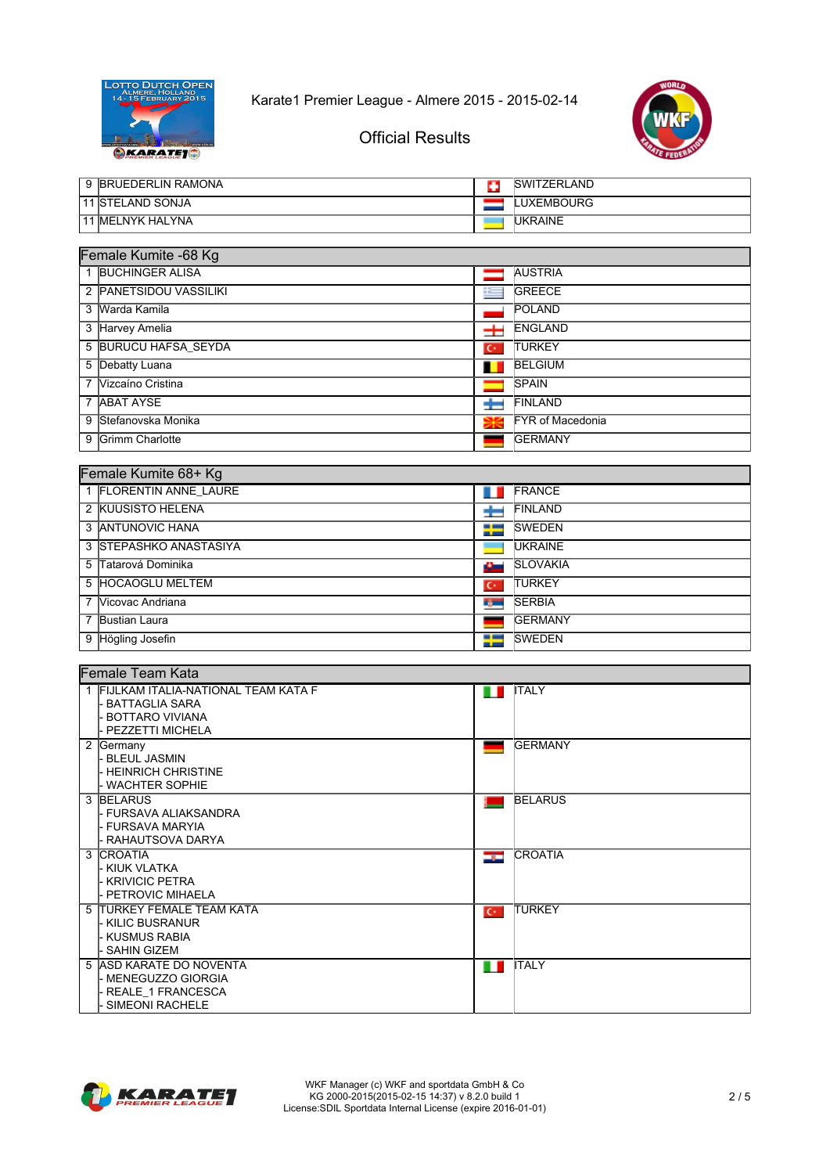



# Official Results

|   | 9 BRUEDERLIN RAMONA         | o     | <b>SWITZERLAND</b>      |  |  |
|---|-----------------------------|-------|-------------------------|--|--|
|   | <b>11 STELAND SONJA</b>     |       | <b>LUXEMBOURG</b>       |  |  |
|   | 11 MELNYK HALYNA            |       | <b>UKRAINE</b>          |  |  |
|   |                             |       |                         |  |  |
|   | Female Kumite -68 Kg        |       |                         |  |  |
|   | <b>BUCHINGER ALISA</b>      |       | <b>AUSTRIA</b>          |  |  |
| 2 | <b>PANETSIDOU VASSILIKI</b> | i im  | <b>GREECE</b>           |  |  |
|   | 3 Warda Kamila              |       | <b>POLAND</b>           |  |  |
| 3 | <b>Harvey Amelia</b>        | 士     | <b>ENGLAND</b>          |  |  |
|   | 5 BURUCU HAFSA SEYDA        | $C^*$ | <b>TURKEY</b>           |  |  |
| 5 | Debatty Luana               |       | <b>BELGIUM</b>          |  |  |
| 7 | Vizcaíno Cristina           |       | <b>SPAIN</b>            |  |  |
| 7 | <b>ABAT AYSE</b>            |       | FINLAND                 |  |  |
| 9 | Stefanovska Monika          | ₩     | <b>FYR of Macedonia</b> |  |  |
| 9 | Grimm Charlotte             |       | <b>GERMANY</b>          |  |  |
|   |                             |       |                         |  |  |
|   | Female Kumite 68+ Kg        |       |                         |  |  |
|   | <b>FLORENTIN ANNE LAURE</b> |       | <b>FRANCE</b>           |  |  |
|   | 2 KULISISTO HELENA          |       | $\Box$ FINI AND         |  |  |

| 2 KUUSISTO HELENA<br><b>FINLAND</b>                  |  |
|------------------------------------------------------|--|
| 3 ANTUNOVIC HANA<br><b>ISWEDEN</b>                   |  |
| 3 STEPASHKO ANASTASIYA<br><b>UKRAINE</b>             |  |
| 5 Tatarová Dominika<br><b>SLOVAKIA</b><br>£.         |  |
| 5 HOCAOGLU MELTEM<br><b>TURKEY</b><br>$\mathbf{C}^*$ |  |
| 7 Vicovac Andriana<br><b>SERBIA</b><br>tj.           |  |
| Bustian Laura<br><b>IGERMANY</b>                     |  |
| 9 Högling Josefin<br>∓<br><b>SWEDEN</b>              |  |

| Female Team Kata                                               |                         |  |  |
|----------------------------------------------------------------|-------------------------|--|--|
| 1 FIJLKAM ITALIA-NATIONAL TEAM KATA F<br><b>BATTAGLIA SARA</b> | <b>ITALY</b><br>ш       |  |  |
| <b>BOTTARO VIVIANA</b>                                         |                         |  |  |
| - PEZZETTI MICHELA                                             |                         |  |  |
| 2 Germany                                                      | <b>GERMANY</b>          |  |  |
| - BLEUL JASMIN                                                 |                         |  |  |
| - HEINRICH CHRISTINE                                           |                         |  |  |
| - WACHTER SOPHIE                                               |                         |  |  |
| 3 BELARUS                                                      | <b>BELARUS</b>          |  |  |
| l- FURSAVA ALIAKSANDRA                                         |                         |  |  |
| I- FURSAVA MARYIA                                              |                         |  |  |
| l- RAHAUTSOVA DARYA                                            |                         |  |  |
| 3 ICROATIA                                                     | <b>CROATIA</b><br>درتك  |  |  |
| L KIUK VLATKA                                                  |                         |  |  |
| - KRIVICIC PETRA                                               |                         |  |  |
| <b>PETROVIC MIHAELA</b>                                        |                         |  |  |
| 5 ITURKEY FEMALE TEAM KATA                                     | <b>ITURKEY</b><br>$C^*$ |  |  |
| - KILIC BUSRANUR                                               |                         |  |  |
| - KUSMUS RABIA                                                 |                         |  |  |
| <b>SAHIN GIZEM</b>                                             |                         |  |  |
| 5 ASD KARATE DO NOVENTA                                        | <b>ITALY</b><br>Ш       |  |  |
| - MENEGUZZO GIORGIA                                            |                         |  |  |
| REALE 1 FRANCESCA                                              |                         |  |  |
| <b>SIMEONI RACHELE</b>                                         |                         |  |  |

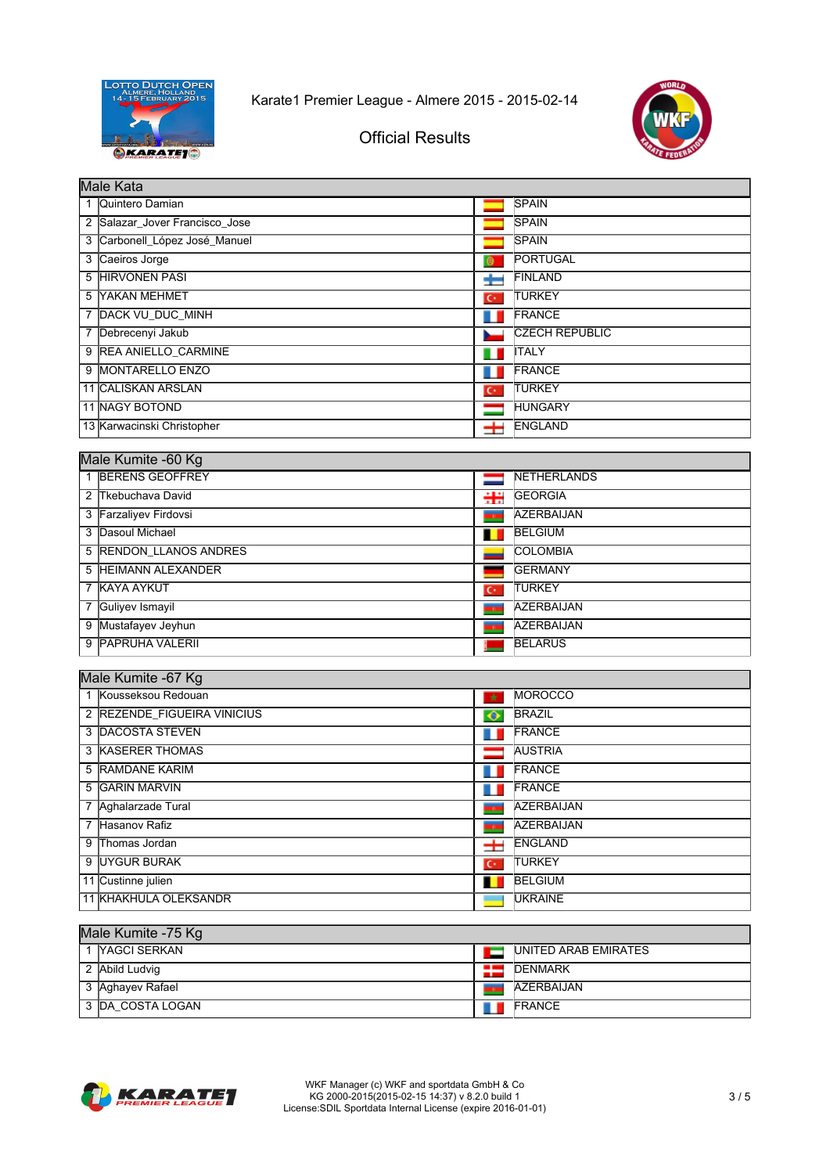



# Official Results

|                | Male Kata                    |                |                        |  |  |
|----------------|------------------------------|----------------|------------------------|--|--|
|                | Quintero Damian              |                | <b>ISPAIN</b>          |  |  |
| $\overline{2}$ | Salazar Jover Francisco Jose |                | <b>SPAIN</b>           |  |  |
| 3              | Carbonell_López José_Manuel  |                | <b>SPAIN</b>           |  |  |
| 3              | Caeiros Jorge                | $\circ$        | <b>PORTUGAL</b>        |  |  |
|                | 5 HIRVONEN PASI              | ÷              | <b>FINLAND</b>         |  |  |
|                | 5 YAKAN MEHMET               | $\mathbf{C}^*$ | <b>TURKEY</b>          |  |  |
|                | 7 DACK VU DUC MINH           | ш              | <b>FRANCE</b>          |  |  |
| 7              | Debrecenyi Jakub             |                | <b>ICZECH REPUBLIC</b> |  |  |
| 9              | <b>REA ANIELLO CARMINE</b>   | ш              | <b>ITALY</b>           |  |  |
|                | 9 MONTARELLO ENZO            |                | <b>FRANCE</b>          |  |  |
|                | 11 CALISKAN ARSLAN           | $\mathsf{C}^*$ | <b>ITURKEY</b>         |  |  |
|                | <b>11 NAGY BOTOND</b>        |                | <b>HUNGARY</b>         |  |  |
|                | 13 Karwacinski Christopher   | 士              | <b>ENGLAND</b>         |  |  |

|   | Male Kumite -60 Kg     |                          |                   |  |  |
|---|------------------------|--------------------------|-------------------|--|--|
|   | 1 BERENS GEOFFREY      |                          | NETHERLANDS       |  |  |
|   | 2 Tkebuchava David     | ₩                        | <b>GEORGIA</b>    |  |  |
|   | 3 Farzaliyev Firdovsi  | <b>TECH</b>              | <b>AZERBAIJAN</b> |  |  |
|   | 3 Dasoul Michael       |                          | <b>BELGIUM</b>    |  |  |
|   | 5 RENDON LLANOS ANDRES |                          | <b>COLOMBIA</b>   |  |  |
|   | 5 HEIMANN ALEXANDER    |                          | <b>IGERMANY</b>   |  |  |
|   | 7 KAYA AYKUT           | $\overline{C}$           | <b>ITURKEY</b>    |  |  |
|   | 7 Guliyev Ismayil      | $\overline{\phantom{a}}$ | <b>AZERBAIJAN</b> |  |  |
| 9 | Mustafayev Jeyhun      |                          | <b>AZERBAIJAN</b> |  |  |
| 9 | <b>PAPRUHA VALERII</b> |                          | <b>BELARUS</b>    |  |  |

| Male Kumite -67 Kg          |            |                   |  |  |
|-----------------------------|------------|-------------------|--|--|
| 1 Kousseksou Redouan        | $\star$    | <b>MOROCCO</b>    |  |  |
| 2 REZENDE FIGUEIRA VINICIUS | $\bullet$  | <b>BRAZIL</b>     |  |  |
| 3 DACOSTA STEVEN            |            | <b>IFRANCE</b>    |  |  |
| <b>3 KASERER THOMAS</b>     |            | <b>AUSTRIA</b>    |  |  |
| 5 RAMDANE KARIM             |            | <b>IFRANCE</b>    |  |  |
| 5 GARIN MARVIN              |            | <b>FRANCE</b>     |  |  |
| 7 Aghalarzade Tural         | $\epsilon$ | <b>AZERBAIJAN</b> |  |  |
| 7 Hasanov Rafiz             | 767        | <b>AZERBAIJAN</b> |  |  |
| 9 Thomas Jordan             | ᆂ          | <b>ENGLAND</b>    |  |  |
| 9 UYGUR BURAK               | $C^*$      | <b>ITURKEY</b>    |  |  |
| 11 Custinne julien          |            | <b>BELGIUM</b>    |  |  |
| 11 KHAKHULA OLEKSANDR       |            | <b>UKRAINE</b>    |  |  |

#### Male Kumite -75 Kg

|  | <b>NAGCI SERKAN</b> |     | UNITED ARAB EMIRATES |  |
|--|---------------------|-----|----------------------|--|
|  | 2 Abild Ludvig      | - - | DENMARK              |  |
|  | 3 Aghayev Rafael    |     | AZERBAIJAN           |  |
|  | 3 DA COSTA LOGAN    |     | <b>IFRANCE</b>       |  |

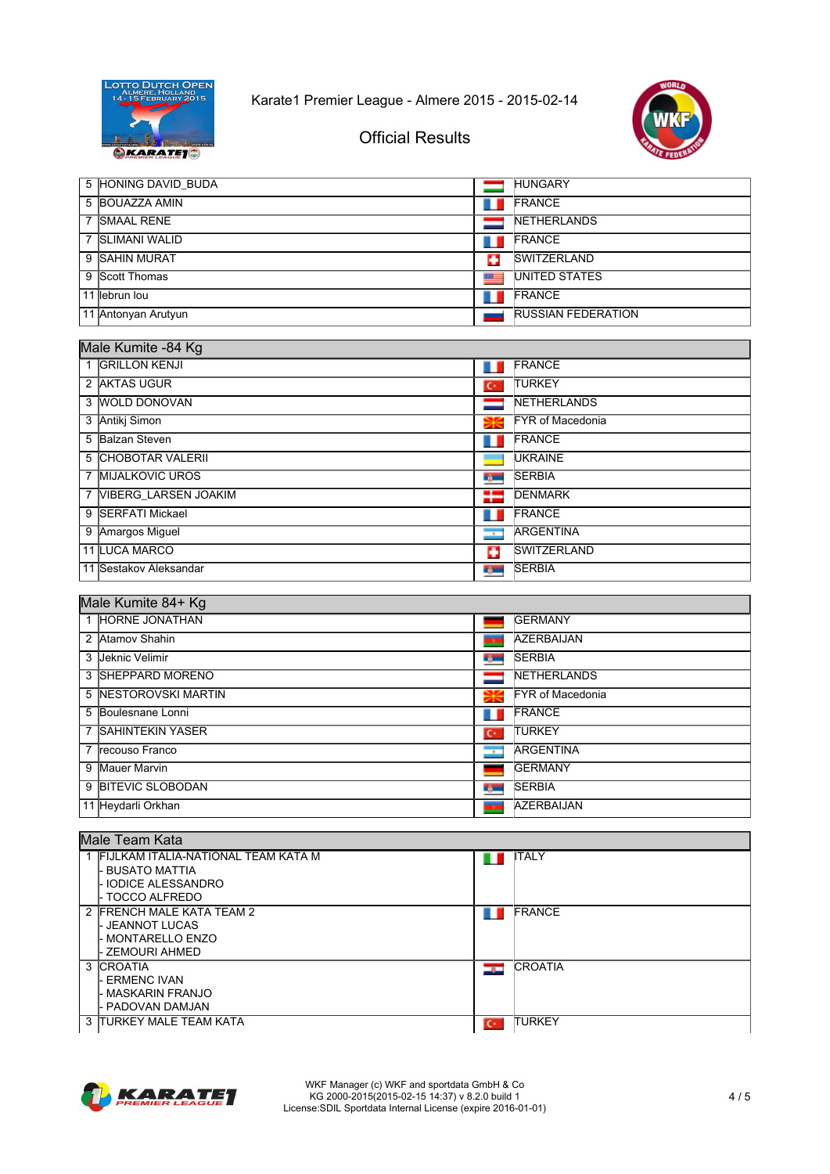



٦

## **Official Results**

|   | 5 HONING DAVID BUDA |   | <b>HUNGARY</b>            |
|---|---------------------|---|---------------------------|
|   | 5 BOUAZZA AMIN      |   | <b>IFRANCE</b>            |
| 7 | <b>SMAAL RENE</b>   |   | <b>INETHERLANDS</b>       |
|   | 7 SLIMANI WALID     |   | <b>IFRANCE</b>            |
|   | 9 SAHIN MURAT       | Ŧ | SWITZERLAND               |
|   | 9 Scott Thomas      | ≔ | <b>IUNITED STATES</b>     |
|   | 11 lebrun lou       |   | <b>IFRANCE</b>            |
|   | 11 Antonyan Arutyun |   | <b>RUSSIAN FEDERATION</b> |

## Male Kumite -84 Kg

| m |                        |                          |                          |  |
|---|------------------------|--------------------------|--------------------------|--|
|   | 1 GRILLON KENJI        |                          | FRANCE                   |  |
|   | 2 AKTAS UGUR           | $C^*$                    | <b>TURKEY</b>            |  |
|   | 3 WOLD DONOVAN         |                          | <b>NETHERLANDS</b>       |  |
|   | 3 Antiki Simon         | ₩                        | <b>IFYR of Macedonia</b> |  |
|   | 5 Balzan Steven        |                          | <b>FRANCE</b>            |  |
|   | 5 CHOBOTAR VALERII     |                          | <b>UKRAINE</b>           |  |
|   | 7 MIJALKOVIC UROS      | <b>Type</b>              | <b>SERBIA</b>            |  |
|   | 7 VIBERG LARSEN JOAKIM | =                        | <b>DENMARK</b>           |  |
|   | 9 SERFATI Mickael      |                          | <b>IFRANCE</b>           |  |
|   | 9 Amargos Miguel       | $\overline{\phantom{a}}$ | <b>ARGENTINA</b>         |  |
|   | 11 LUCA MARCO          | o                        | <b>ISWITZERLAND</b>      |  |
|   | 11 Sestakov Aleksandar | t juni                   | <b>SERBIA</b>            |  |

### Male Kumite 84+ Kg

| 1 HORNE JONATHAN     |                          | <b>GERMANY</b>          |
|----------------------|--------------------------|-------------------------|
| 2 Atamov Shahin      | $\overline{\phantom{a}}$ | <b>AZERBAIJAN</b>       |
| 3 Jeknic Velimir     | ng m                     | <b>SERBIA</b>           |
| 3 SHEPPARD MORENO    |                          | <b>INETHERLANDS</b>     |
| 5 NESTOROVSKI MARTIN | Ж                        | <b>FYR of Macedonia</b> |
| 5 Boulesnane Lonni   |                          | <b>FRANCE</b>           |
| 7 SAHINTEKIN YASER   | $\mathbf{C}^*$           | <b>ITURKEY</b>          |
| 7 Irecouso Franco    | $\sqrt{1 - \frac{1}{2}}$ | <b>ARGENTINA</b>        |
| 9 Mauer Marvin       |                          | <b>IGERMANY</b>         |
| 9 BITEVIC SLOBODAN   | rg –                     | <b>SERBIA</b>           |
| 11 Heydarli Orkhan   | <b>TO</b>                | <b>AZERBAIJAN</b>       |

| lMale Team Kata |                                       |     |                |  |
|-----------------|---------------------------------------|-----|----------------|--|
|                 | 1 FIJLKAM ITALIA-NATIONAL TEAM KATA M | ш   | <b>ITALY</b>   |  |
|                 | <b>BUSATO MATTIA</b>                  |     |                |  |
|                 | - IODICE ALESSANDRO                   |     |                |  |
|                 | - TOCCO ALFREDO                       |     |                |  |
|                 | 2 FRENCH MALE KATA TEAM 2             |     | <b>FRANCE</b>  |  |
|                 | - JEANNOT LUCAS                       |     |                |  |
|                 | - MONTARELLO ENZO                     |     |                |  |
|                 | - ZEMOURI AHMED                       |     |                |  |
|                 | 3 CROATIA                             | درد | <b>CROATIA</b> |  |
|                 | - ERMENC IVAN                         |     |                |  |
|                 | - MASKARIN FRANJO                     |     |                |  |
|                 | - PADOVAN DAMJAN                      |     |                |  |
|                 | 3 ITURKEY MALE TEAM KATA              | ю   | <b>TURKEY</b>  |  |